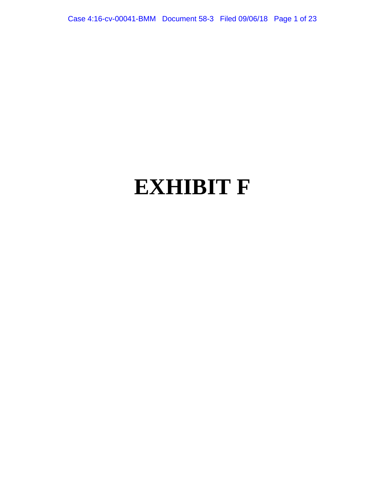Case 4:16-cv-00041-BMM Document 58-3 Filed 09/06/18 Page 1 of 23

# **EXHIBIT F**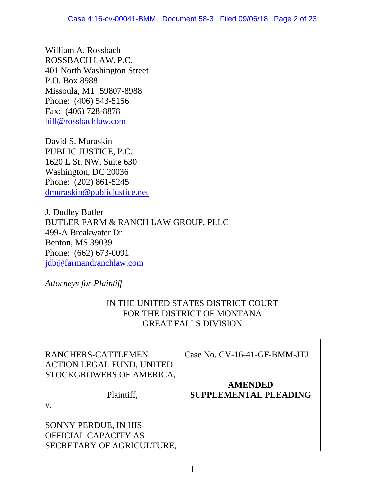William A. Rossbach ROSSBACH LAW, P.C. 401 North Washington Street P.O. Box 8988 Missoula, MT 59807-8988 Phone: (406) 543-5156 Fax: (406) 728-8878 bill@rossbachlaw.com

David S. Muraskin PUBLIC JUSTICE, P.C. 1620 L St. NW, Suite 630 Washington, DC 20036 Phone: (202) 861-5245 dmuraskin@publicjustice.net

J. Dudley Butler BUTLER FARM & RANCH LAW GROUP, PLLC 499-A Breakwater Dr. Benton, MS 39039 Phone: (662) 673-0091 jdb@farmandranchlaw.com

*Attorneys for Plaintiff*

# IN THE UNITED STATES DISTRICT COURT FOR THE DISTRICT OF MONTANA GREAT FALLS DIVISION

| RANCHERS-CATTLEMEN<br><b>ACTION LEGAL FUND, UNITED</b><br>STOCKGROWERS OF AMERICA,<br>Plaintiff,<br>V. | Case No. CV-16-41-GF-BMM-JTJ<br><b>AMENDED</b><br><b>SUPPLEMENTAL PLEADING</b> |
|--------------------------------------------------------------------------------------------------------|--------------------------------------------------------------------------------|
| SONNY PERDUE, IN HIS<br><b>OFFICIAL CAPACITY AS</b><br>SECRETARY OF AGRICULTURE,                       |                                                                                |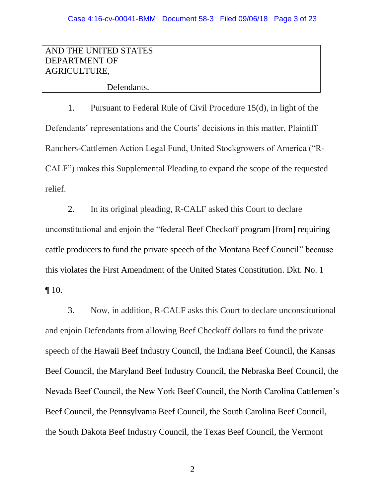| AND THE UNITED STATES |  |
|-----------------------|--|
| <b>DEPARTMENT OF</b>  |  |
| AGRICULTURE,          |  |
| Defendants.           |  |

1. Pursuant to Federal Rule of Civil Procedure 15(d), in light of the Defendants' representations and the Courts' decisions in this matter, Plaintiff Ranchers-Cattlemen Action Legal Fund, United Stockgrowers of America ("R-CALF") makes this Supplemental Pleading to expand the scope of the requested relief.

2. In its original pleading, R-CALF asked this Court to declare unconstitutional and enjoin the "federal Beef Checkoff program [from] requiring cattle producers to fund the private speech of the Montana Beef Council" because this violates the First Amendment of the United States Constitution. Dkt. No. 1  $\P$  10.

3. Now, in addition, R-CALF asks this Court to declare unconstitutional and enjoin Defendants from allowing Beef Checkoff dollars to fund the private speech of the Hawaii Beef Industry Council, the Indiana Beef Council, the Kansas Beef Council, the Maryland Beef Industry Council, the Nebraska Beef Council, the Nevada Beef Council, the New York Beef Council, the North Carolina Cattlemen's Beef Council, the Pennsylvania Beef Council, the South Carolina Beef Council, the South Dakota Beef Industry Council, the Texas Beef Council, the Vermont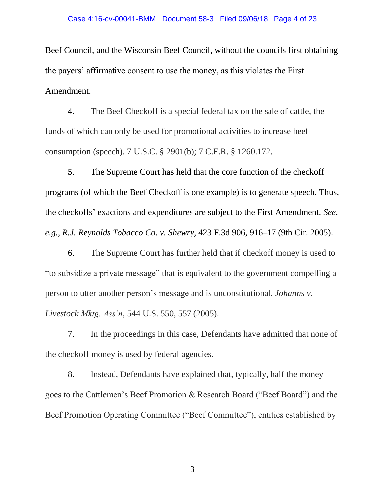#### Case 4:16-cv-00041-BMM Document 58-3 Filed 09/06/18 Page 4 of 23

Beef Council, and the Wisconsin Beef Council, without the councils first obtaining the payers' affirmative consent to use the money, as this violates the First Amendment.

4. The Beef Checkoff is a special federal tax on the sale of cattle, the funds of which can only be used for promotional activities to increase beef consumption (speech). 7 U.S.C. § 2901(b); 7 C.F.R. § 1260.172.

5. The Supreme Court has held that the core function of the checkoff programs (of which the Beef Checkoff is one example) is to generate speech. Thus, the checkoffs' exactions and expenditures are subject to the First Amendment. *See, e.g., R.J. Reynolds Tobacco Co. v. Shewry*, 423 F.3d 906, 916–17 (9th Cir. 2005).

6. The Supreme Court has further held that if checkoff money is used to "to subsidize a private message" that is equivalent to the government compelling a person to utter another person's message and is unconstitutional. *Johanns v. Livestock Mktg. Ass'n*, 544 U.S. 550, 557 (2005).

7. In the proceedings in this case, Defendants have admitted that none of the checkoff money is used by federal agencies.

8. Instead, Defendants have explained that, typically, half the money goes to the Cattlemen's Beef Promotion & Research Board ("Beef Board") and the Beef Promotion Operating Committee ("Beef Committee"), entities established by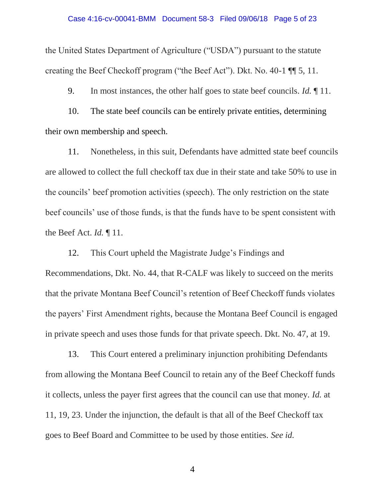the United States Department of Agriculture ("USDA") pursuant to the statute creating the Beef Checkoff program ("the Beef Act"). Dkt. No. 40-1 ¶¶ 5, 11.

9. In most instances, the other half goes to state beef councils. *Id.* ¶ 11.

10. The state beef councils can be entirely private entities, determining their own membership and speech.

11. Nonetheless, in this suit, Defendants have admitted state beef councils are allowed to collect the full checkoff tax due in their state and take 50% to use in the councils' beef promotion activities (speech). The only restriction on the state beef councils' use of those funds, is that the funds have to be spent consistent with the Beef Act. *Id.* ¶ 11.

12. This Court upheld the Magistrate Judge's Findings and Recommendations, Dkt. No. 44, that R-CALF was likely to succeed on the merits that the private Montana Beef Council's retention of Beef Checkoff funds violates the payers' First Amendment rights, because the Montana Beef Council is engaged in private speech and uses those funds for that private speech. Dkt. No. 47, at 19.

13. This Court entered a preliminary injunction prohibiting Defendants from allowing the Montana Beef Council to retain any of the Beef Checkoff funds it collects, unless the payer first agrees that the council can use that money. *Id.* at 11, 19, 23. Under the injunction, the default is that all of the Beef Checkoff tax goes to Beef Board and Committee to be used by those entities. *See id.*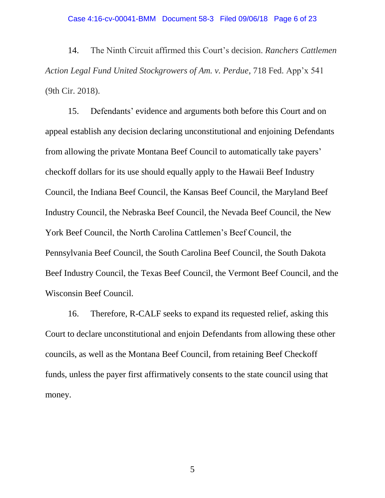14. The Ninth Circuit affirmed this Court's decision. *Ranchers Cattlemen Action Legal Fund United Stockgrowers of Am. v. Perdue*, 718 Fed. App'x 541 (9th Cir. 2018).

15. Defendants' evidence and arguments both before this Court and on appeal establish any decision declaring unconstitutional and enjoining Defendants from allowing the private Montana Beef Council to automatically take payers' checkoff dollars for its use should equally apply to the Hawaii Beef Industry Council, the Indiana Beef Council, the Kansas Beef Council, the Maryland Beef Industry Council, the Nebraska Beef Council, the Nevada Beef Council, the New York Beef Council, the North Carolina Cattlemen's Beef Council, the Pennsylvania Beef Council, the South Carolina Beef Council, the South Dakota Beef Industry Council, the Texas Beef Council, the Vermont Beef Council, and the Wisconsin Beef Council.

16. Therefore, R-CALF seeks to expand its requested relief, asking this Court to declare unconstitutional and enjoin Defendants from allowing these other councils, as well as the Montana Beef Council, from retaining Beef Checkoff funds, unless the payer first affirmatively consents to the state council using that money.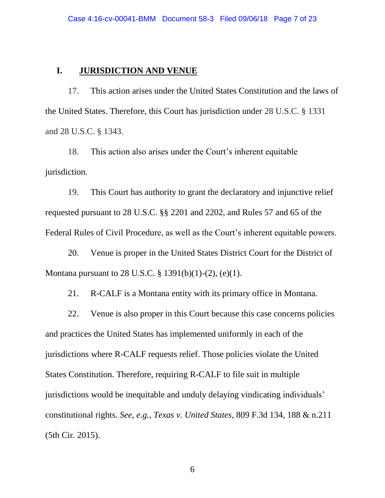# **I. JURISDICTION AND VENUE**

17. This action arises under the United States Constitution and the laws of the United States. Therefore, this Court has jurisdiction under 28 U.S.C. § 1331 and 28 U.S.C. § 1343.

18. This action also arises under the Court's inherent equitable jurisdiction.

19. This Court has authority to grant the declaratory and injunctive relief requested pursuant to 28 U.S.C. §§ 2201 and 2202, and Rules 57 and 65 of the Federal Rules of Civil Procedure, as well as the Court's inherent equitable powers.

20. Venue is proper in the United States District Court for the District of Montana pursuant to 28 U.S.C. § 1391(b)(1)-(2), (e)(1).

21. R-CALF is a Montana entity with its primary office in Montana.

22. Venue is also proper in this Court because this case concerns policies and practices the United States has implemented uniformly in each of the jurisdictions where R-CALF requests relief. Those policies violate the United States Constitution. Therefore, requiring R-CALF to file suit in multiple jurisdictions would be inequitable and unduly delaying vindicating individuals' constitutional rights. *See, e.g.*, *Texas v. United States*, 809 F.3d 134, 188 & n.211 (5th Cir. 2015).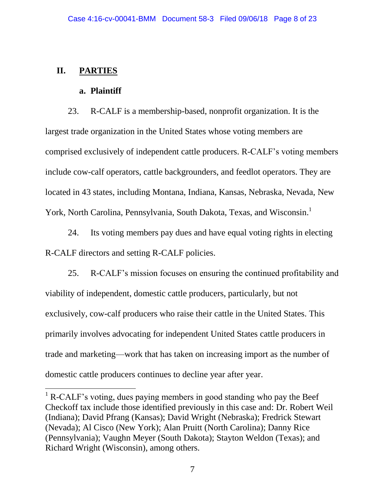# **II. PARTIES**

 $\overline{\phantom{a}}$ 

# **a. Plaintiff**

23. R-CALF is a membership-based, nonprofit organization. It is the largest trade organization in the United States whose voting members are comprised exclusively of independent cattle producers. R-CALF's voting members include cow-calf operators, cattle backgrounders, and feedlot operators. They are located in 43 states, including Montana, Indiana, Kansas, Nebraska, Nevada, New York, North Carolina, Pennsylvania, South Dakota, Texas, and Wisconsin.<sup>1</sup>

24. Its voting members pay dues and have equal voting rights in electing R-CALF directors and setting R-CALF policies.

25. R-CALF's mission focuses on ensuring the continued profitability and viability of independent, domestic cattle producers, particularly, but not exclusively, cow-calf producers who raise their cattle in the United States. This primarily involves advocating for independent United States cattle producers in trade and marketing—work that has taken on increasing import as the number of domestic cattle producers continues to decline year after year.

 $1 R-CALF$ 's voting, dues paying members in good standing who pay the Beef Checkoff tax include those identified previously in this case and: Dr. Robert Weil (Indiana); David Pfrang (Kansas); David Wright (Nebraska); Fredrick Stewart (Nevada); Al Cisco (New York); Alan Pruitt (North Carolina); Danny Rice (Pennsylvania); Vaughn Meyer (South Dakota); Stayton Weldon (Texas); and Richard Wright (Wisconsin), among others.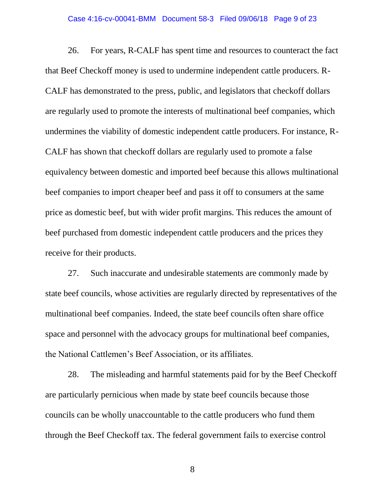#### Case 4:16-cv-00041-BMM Document 58-3 Filed 09/06/18 Page 9 of 23

26. For years, R-CALF has spent time and resources to counteract the fact that Beef Checkoff money is used to undermine independent cattle producers. R-CALF has demonstrated to the press, public, and legislators that checkoff dollars are regularly used to promote the interests of multinational beef companies, which undermines the viability of domestic independent cattle producers. For instance, R-CALF has shown that checkoff dollars are regularly used to promote a false equivalency between domestic and imported beef because this allows multinational beef companies to import cheaper beef and pass it off to consumers at the same price as domestic beef, but with wider profit margins. This reduces the amount of beef purchased from domestic independent cattle producers and the prices they receive for their products.

27. Such inaccurate and undesirable statements are commonly made by state beef councils, whose activities are regularly directed by representatives of the multinational beef companies. Indeed, the state beef councils often share office space and personnel with the advocacy groups for multinational beef companies, the National Cattlemen's Beef Association, or its affiliates.

28. The misleading and harmful statements paid for by the Beef Checkoff are particularly pernicious when made by state beef councils because those councils can be wholly unaccountable to the cattle producers who fund them through the Beef Checkoff tax. The federal government fails to exercise control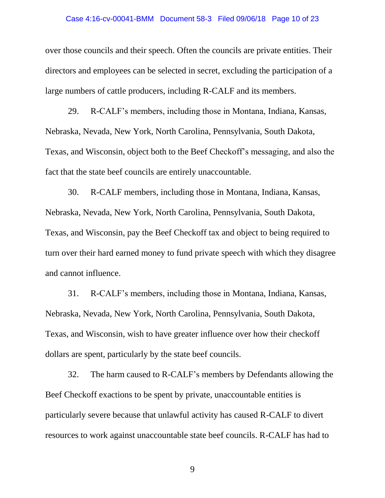## Case 4:16-cv-00041-BMM Document 58-3 Filed 09/06/18 Page 10 of 23

over those councils and their speech. Often the councils are private entities. Their directors and employees can be selected in secret, excluding the participation of a large numbers of cattle producers, including R-CALF and its members.

29. R-CALF's members, including those in Montana, Indiana, Kansas, Nebraska, Nevada, New York, North Carolina, Pennsylvania, South Dakota, Texas, and Wisconsin, object both to the Beef Checkoff's messaging, and also the fact that the state beef councils are entirely unaccountable.

30. R-CALF members, including those in Montana, Indiana, Kansas, Nebraska, Nevada, New York, North Carolina, Pennsylvania, South Dakota, Texas, and Wisconsin, pay the Beef Checkoff tax and object to being required to turn over their hard earned money to fund private speech with which they disagree and cannot influence.

31. R-CALF's members, including those in Montana, Indiana, Kansas, Nebraska, Nevada, New York, North Carolina, Pennsylvania, South Dakota, Texas, and Wisconsin, wish to have greater influence over how their checkoff dollars are spent, particularly by the state beef councils.

32. The harm caused to R-CALF's members by Defendants allowing the Beef Checkoff exactions to be spent by private, unaccountable entities is particularly severe because that unlawful activity has caused R-CALF to divert resources to work against unaccountable state beef councils. R-CALF has had to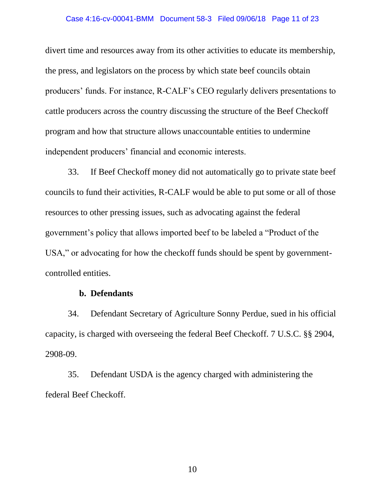## Case 4:16-cv-00041-BMM Document 58-3 Filed 09/06/18 Page 11 of 23

divert time and resources away from its other activities to educate its membership, the press, and legislators on the process by which state beef councils obtain producers' funds. For instance, R-CALF's CEO regularly delivers presentations to cattle producers across the country discussing the structure of the Beef Checkoff program and how that structure allows unaccountable entities to undermine independent producers' financial and economic interests.

33. If Beef Checkoff money did not automatically go to private state beef councils to fund their activities, R-CALF would be able to put some or all of those resources to other pressing issues, such as advocating against the federal government's policy that allows imported beef to be labeled a "Product of the USA," or advocating for how the checkoff funds should be spent by governmentcontrolled entities.

# **b. Defendants**

34. Defendant Secretary of Agriculture Sonny Perdue, sued in his official capacity, is charged with overseeing the federal Beef Checkoff. 7 U.S.C. §§ 2904, 2908-09.

35. Defendant USDA is the agency charged with administering the federal Beef Checkoff.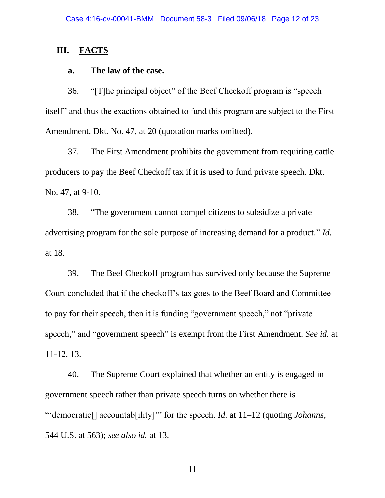## **III. FACTS**

## **a. The law of the case.**

36. "[T]he principal object" of the Beef Checkoff program is "speech itself" and thus the exactions obtained to fund this program are subject to the First Amendment. Dkt. No. 47, at 20 (quotation marks omitted).

37. The First Amendment prohibits the government from requiring cattle producers to pay the Beef Checkoff tax if it is used to fund private speech. Dkt. No. 47, at 9-10.

38. "The government cannot compel citizens to subsidize a private advertising program for the sole purpose of increasing demand for a product." *Id.*  at 18.

39. The Beef Checkoff program has survived only because the Supreme Court concluded that if the checkoff's tax goes to the Beef Board and Committee to pay for their speech, then it is funding "government speech," not "private speech," and "government speech" is exempt from the First Amendment. *See id.* at 11-12, 13.

40. The Supreme Court explained that whether an entity is engaged in government speech rather than private speech turns on whether there is "'democratic[] accountab[ility]'" for the speech. *Id.* at 11–12 (quoting *Johanns*, 544 U.S. at 563); *see also id.* at 13.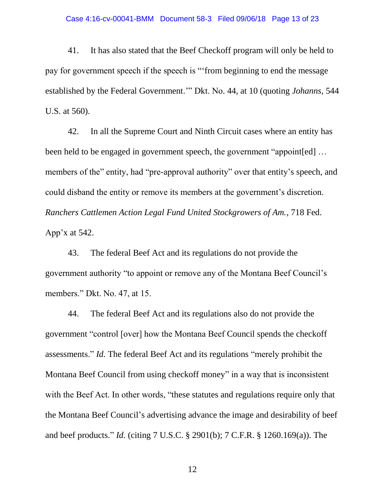## Case 4:16-cv-00041-BMM Document 58-3 Filed 09/06/18 Page 13 of 23

41. It has also stated that the Beef Checkoff program will only be held to pay for government speech if the speech is "'from beginning to end the message established by the Federal Government.'" Dkt. No. 44, at 10 (quoting *Johanns*, 544 U.S. at 560).

42. In all the Supreme Court and Ninth Circuit cases where an entity has been held to be engaged in government speech, the government "appoint[ed] … members of the" entity, had "pre-approval authority" over that entity's speech, and could disband the entity or remove its members at the government's discretion. *Ranchers Cattlemen Action Legal Fund United Stockgrowers of Am.*, 718 Fed. App'x at 542.

43. The federal Beef Act and its regulations do not provide the government authority "to appoint or remove any of the Montana Beef Council's members." Dkt. No. 47, at 15.

44. The federal Beef Act and its regulations also do not provide the government "control [over] how the Montana Beef Council spends the checkoff assessments." *Id.* The federal Beef Act and its regulations "merely prohibit the Montana Beef Council from using checkoff money" in a way that is inconsistent with the Beef Act. In other words, "these statutes and regulations require only that the Montana Beef Council's advertising advance the image and desirability of beef and beef products." *Id.* (citing 7 U.S.C. § 2901(b); 7 C.F.R. § 1260.169(a)). The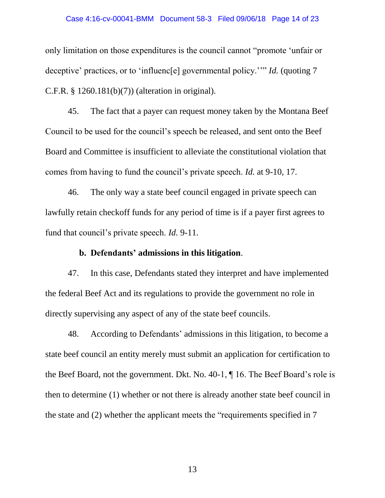## Case 4:16-cv-00041-BMM Document 58-3 Filed 09/06/18 Page 14 of 23

only limitation on those expenditures is the council cannot "promote 'unfair or deceptive' practices, or to 'influenc[e] governmental policy.''" *Id.* (quoting 7 C.F.R. § 1260.181(b)(7)) (alteration in original).

45. The fact that a payer can request money taken by the Montana Beef Council to be used for the council's speech be released, and sent onto the Beef Board and Committee is insufficient to alleviate the constitutional violation that comes from having to fund the council's private speech. *Id.* at 9-10, 17.

46. The only way a state beef council engaged in private speech can lawfully retain checkoff funds for any period of time is if a payer first agrees to fund that council's private speech. *Id.* 9-11.

## **b. Defendants' admissions in this litigation**.

47. In this case, Defendants stated they interpret and have implemented the federal Beef Act and its regulations to provide the government no role in directly supervising any aspect of any of the state beef councils.

48. According to Defendants' admissions in this litigation, to become a state beef council an entity merely must submit an application for certification to the Beef Board, not the government. Dkt. No. 40-1, ¶ 16. The Beef Board's role is then to determine (1) whether or not there is already another state beef council in the state and (2) whether the applicant meets the "requirements specified in 7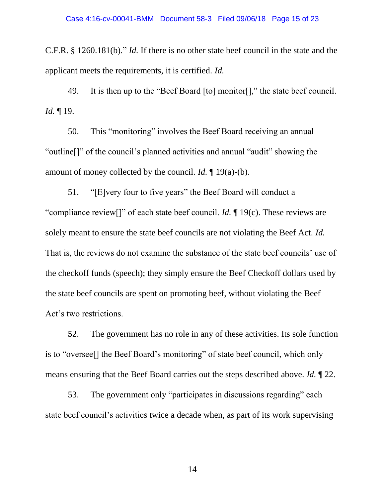C.F.R. § 1260.181(b)." *Id.* If there is no other state beef council in the state and the applicant meets the requirements, it is certified. *Id.* 

49. It is then up to the "Beef Board [to] monitor[]," the state beef council. *Id.* ¶ 19.

50. This "monitoring" involves the Beef Board receiving an annual "outline[]" of the council's planned activities and annual "audit" showing the amount of money collected by the council. *Id.* ¶ 19(a)-(b).

51. "[E]very four to five years" the Beef Board will conduct a "compliance review[]" of each state beef council. *Id.* ¶ 19(c). These reviews are solely meant to ensure the state beef councils are not violating the Beef Act. *Id.*  That is, the reviews do not examine the substance of the state beef councils' use of the checkoff funds (speech); they simply ensure the Beef Checkoff dollars used by the state beef councils are spent on promoting beef, without violating the Beef Act's two restrictions.

52. The government has no role in any of these activities. Its sole function is to "oversee[] the Beef Board's monitoring" of state beef council, which only means ensuring that the Beef Board carries out the steps described above. *Id.* ¶ 22.

53. The government only "participates in discussions regarding" each state beef council's activities twice a decade when, as part of its work supervising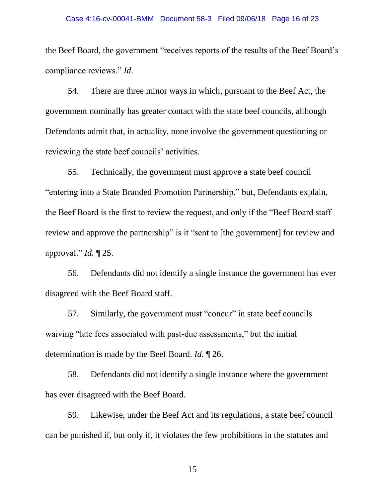#### Case 4:16-cv-00041-BMM Document 58-3 Filed 09/06/18 Page 16 of 23

the Beef Board, the government "receives reports of the results of the Beef Board's compliance reviews." *Id.* 

54. There are three minor ways in which, pursuant to the Beef Act, the government nominally has greater contact with the state beef councils, although Defendants admit that, in actuality, none involve the government questioning or reviewing the state beef councils' activities.

55. Technically, the government must approve a state beef council "entering into a State Branded Promotion Partnership," but, Defendants explain, the Beef Board is the first to review the request, and only if the "Beef Board staff review and approve the partnership" is it "sent to [the government] for review and approval." *Id.* ¶ 25.

56. Defendants did not identify a single instance the government has ever disagreed with the Beef Board staff.

57. Similarly, the government must "concur" in state beef councils waiving "late fees associated with past-due assessments," but the initial determination is made by the Beef Board. *Id.* ¶ 26.

58. Defendants did not identify a single instance where the government has ever disagreed with the Beef Board.

59. Likewise, under the Beef Act and its regulations, a state beef council can be punished if, but only if, it violates the few prohibitions in the statutes and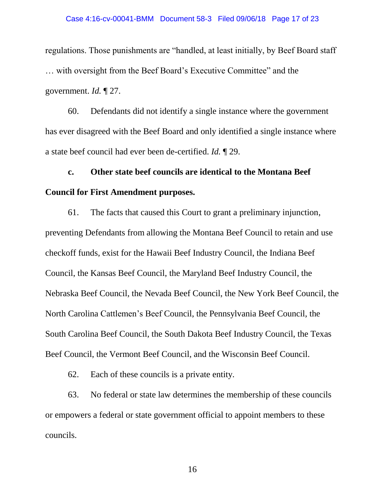regulations. Those punishments are "handled, at least initially, by Beef Board staff … with oversight from the Beef Board's Executive Committee" and the government. *Id.* ¶ 27.

60. Defendants did not identify a single instance where the government has ever disagreed with the Beef Board and only identified a single instance where a state beef council had ever been de-certified. *Id.* ¶ 29.

**c. Other state beef councils are identical to the Montana Beef Council for First Amendment purposes.** 

61. The facts that caused this Court to grant a preliminary injunction, preventing Defendants from allowing the Montana Beef Council to retain and use checkoff funds, exist for the Hawaii Beef Industry Council, the Indiana Beef Council, the Kansas Beef Council, the Maryland Beef Industry Council, the Nebraska Beef Council, the Nevada Beef Council, the New York Beef Council, the North Carolina Cattlemen's Beef Council, the Pennsylvania Beef Council, the South Carolina Beef Council, the South Dakota Beef Industry Council, the Texas Beef Council, the Vermont Beef Council, and the Wisconsin Beef Council.

62. Each of these councils is a private entity.

63. No federal or state law determines the membership of these councils or empowers a federal or state government official to appoint members to these councils.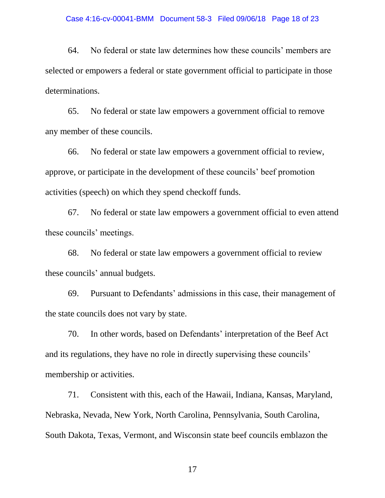## Case 4:16-cv-00041-BMM Document 58-3 Filed 09/06/18 Page 18 of 23

64. No federal or state law determines how these councils' members are selected or empowers a federal or state government official to participate in those determinations.

65. No federal or state law empowers a government official to remove any member of these councils.

66. No federal or state law empowers a government official to review, approve, or participate in the development of these councils' beef promotion activities (speech) on which they spend checkoff funds.

67. No federal or state law empowers a government official to even attend these councils' meetings.

68. No federal or state law empowers a government official to review these councils' annual budgets.

69. Pursuant to Defendants' admissions in this case, their management of the state councils does not vary by state.

70. In other words, based on Defendants' interpretation of the Beef Act and its regulations, they have no role in directly supervising these councils' membership or activities.

71. Consistent with this, each of the Hawaii, Indiana, Kansas, Maryland, Nebraska, Nevada, New York, North Carolina, Pennsylvania, South Carolina, South Dakota, Texas, Vermont, and Wisconsin state beef councils emblazon the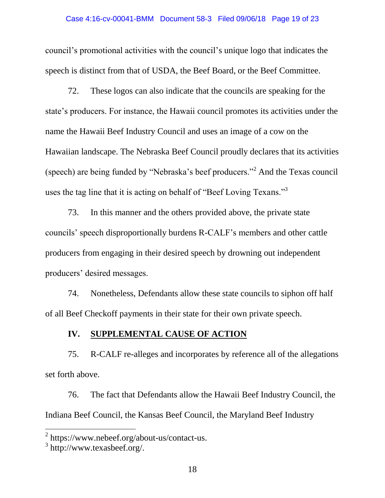council's promotional activities with the council's unique logo that indicates the speech is distinct from that of USDA, the Beef Board, or the Beef Committee.

72. These logos can also indicate that the councils are speaking for the state's producers. For instance, the Hawaii council promotes its activities under the name the Hawaii Beef Industry Council and uses an image of a cow on the Hawaiian landscape. The Nebraska Beef Council proudly declares that its activities (speech) are being funded by "Nebraska's beef producers."<sup>2</sup> And the Texas council uses the tag line that it is acting on behalf of "Beef Loving Texans."<sup>3</sup>

73. In this manner and the others provided above, the private state councils' speech disproportionally burdens R-CALF's members and other cattle producers from engaging in their desired speech by drowning out independent producers' desired messages.

74. Nonetheless, Defendants allow these state councils to siphon off half of all Beef Checkoff payments in their state for their own private speech.

# **IV. SUPPLEMENTAL CAUSE OF ACTION**

75. R-CALF re-alleges and incorporates by reference all of the allegations set forth above.

76. The fact that Defendants allow the Hawaii Beef Industry Council, the Indiana Beef Council, the Kansas Beef Council, the Maryland Beef Industry

 $\overline{\phantom{a}}$ 

<sup>&</sup>lt;sup>2</sup> https://www.nebeef.org/about-us/contact-us.

<sup>3</sup> http://www.texasbeef.org/.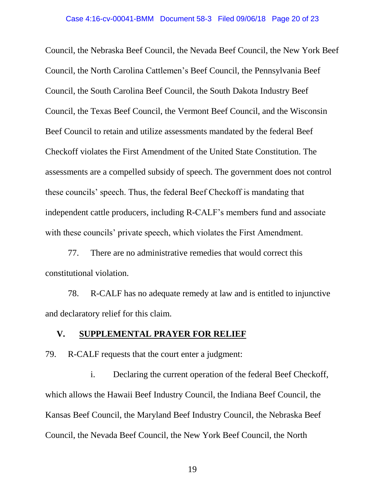Council, the Nebraska Beef Council, the Nevada Beef Council, the New York Beef Council, the North Carolina Cattlemen's Beef Council, the Pennsylvania Beef Council, the South Carolina Beef Council, the South Dakota Industry Beef Council, the Texas Beef Council, the Vermont Beef Council, and the Wisconsin Beef Council to retain and utilize assessments mandated by the federal Beef Checkoff violates the First Amendment of the United State Constitution. The assessments are a compelled subsidy of speech. The government does not control these councils' speech. Thus, the federal Beef Checkoff is mandating that independent cattle producers, including R-CALF's members fund and associate with these councils' private speech, which violates the First Amendment.

77. There are no administrative remedies that would correct this constitutional violation.

78. R-CALF has no adequate remedy at law and is entitled to injunctive and declaratory relief for this claim.

# **V. SUPPLEMENTAL PRAYER FOR RELIEF**

79. R-CALF requests that the court enter a judgment:

i. Declaring the current operation of the federal Beef Checkoff, which allows the Hawaii Beef Industry Council, the Indiana Beef Council, the Kansas Beef Council, the Maryland Beef Industry Council, the Nebraska Beef Council, the Nevada Beef Council, the New York Beef Council, the North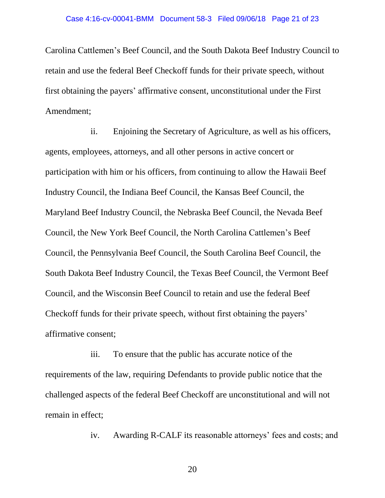Carolina Cattlemen's Beef Council, and the South Dakota Beef Industry Council to retain and use the federal Beef Checkoff funds for their private speech, without first obtaining the payers' affirmative consent, unconstitutional under the First Amendment;

ii. Enjoining the Secretary of Agriculture, as well as his officers, agents, employees, attorneys, and all other persons in active concert or participation with him or his officers, from continuing to allow the Hawaii Beef Industry Council, the Indiana Beef Council, the Kansas Beef Council, the Maryland Beef Industry Council, the Nebraska Beef Council, the Nevada Beef Council, the New York Beef Council, the North Carolina Cattlemen's Beef Council, the Pennsylvania Beef Council, the South Carolina Beef Council, the South Dakota Beef Industry Council, the Texas Beef Council, the Vermont Beef Council, and the Wisconsin Beef Council to retain and use the federal Beef Checkoff funds for their private speech, without first obtaining the payers' affirmative consent;

iii. To ensure that the public has accurate notice of the requirements of the law, requiring Defendants to provide public notice that the challenged aspects of the federal Beef Checkoff are unconstitutional and will not remain in effect;

iv. Awarding R-CALF its reasonable attorneys' fees and costs; and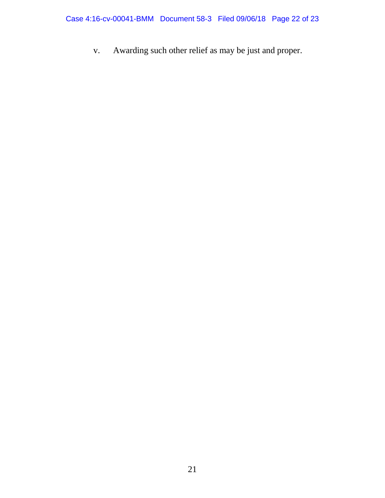v. Awarding such other relief as may be just and proper.